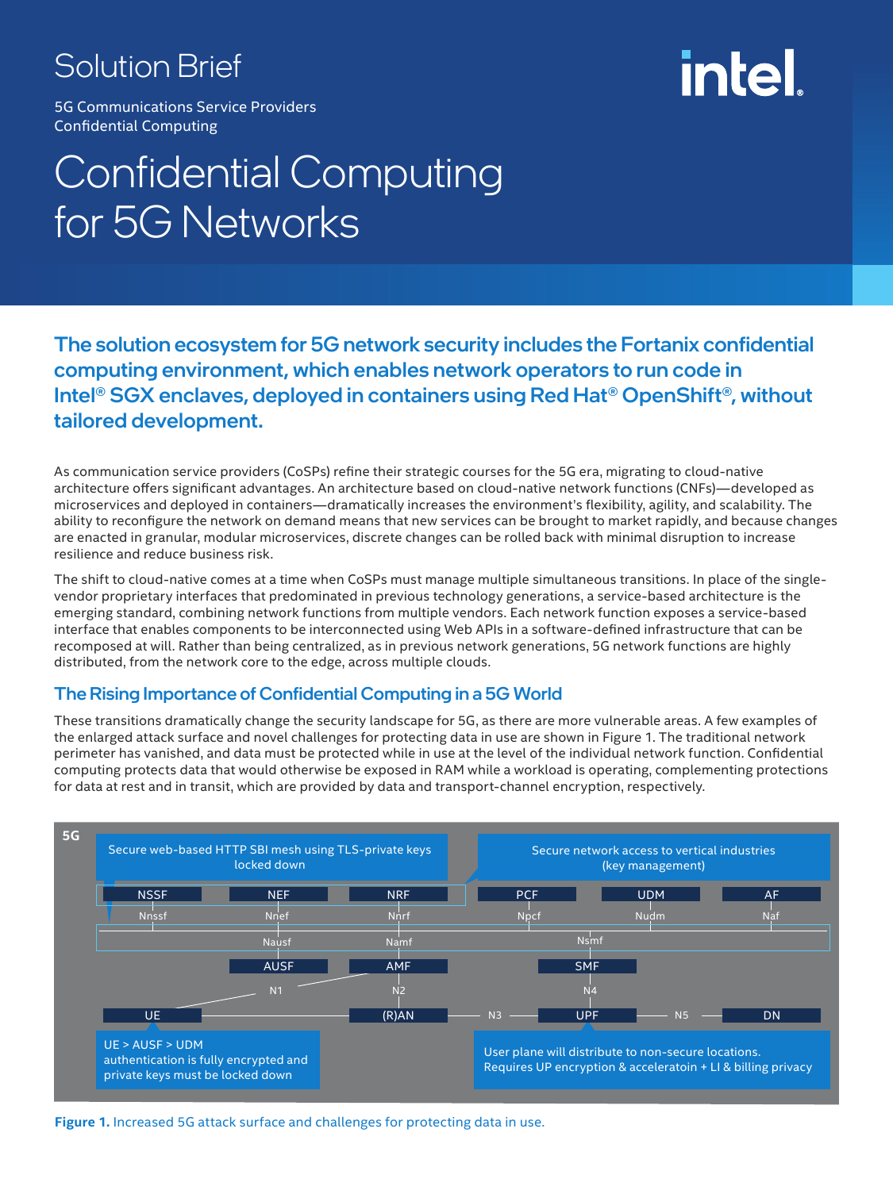### Solution Brief

# intel

5G Communications Service Providers Confidential Computing

## Confidential Computing for 5G Networks

The solution ecosystem for 5G network security includes the Fortanix confidential computing environment, which enables network operators to run code in Intel® SGX enclaves, deployed in containers using Red Hat® OpenShift®, without tailored development.

As communication service providers (CoSPs) refine their strategic courses for the 5G era, migrating to cloud-native architecture offers significant advantages. An architecture based on cloud-native network functions (CNFs)—developed as microservices and deployed in containers—dramatically increases the environment's flexibility, agility, and scalability. The ability to reconfigure the network on demand means that new services can be brought to market rapidly, and because changes are enacted in granular, modular microservices, discrete changes can be rolled back with minimal disruption to increase resilience and reduce business risk.

The shift to cloud-native comes at a time when CoSPs must manage multiple simultaneous transitions. In place of the singlevendor proprietary interfaces that predominated in previous technology generations, a service-based architecture is the emerging standard, combining network functions from multiple vendors. Each network function exposes a service-based interface that enables components to be interconnected using Web APIs in a software-defined infrastructure that can be recomposed at will. Rather than being centralized, as in previous network generations, 5G network functions are highly distributed, from the network core to the edge, across multiple clouds.

#### The Rising Importance of Confidential Computing in a 5G World

These transitions dramatically change the security landscape for 5G, as there are more vulnerable areas. A few examples of the enlarged attack surface and novel challenges for protecting data in use are shown in Figure 1. The traditional network perimeter has vanished, and data must be protected while in use at the level of the individual network function. Confidential computing protects data that would otherwise be exposed in RAM while a workload is operating, complementing protections for data at rest and in transit, which are provided by data and transport-channel encryption, respectively.



**Figure 1.** Increased 5G attack surface and challenges for protecting data in use.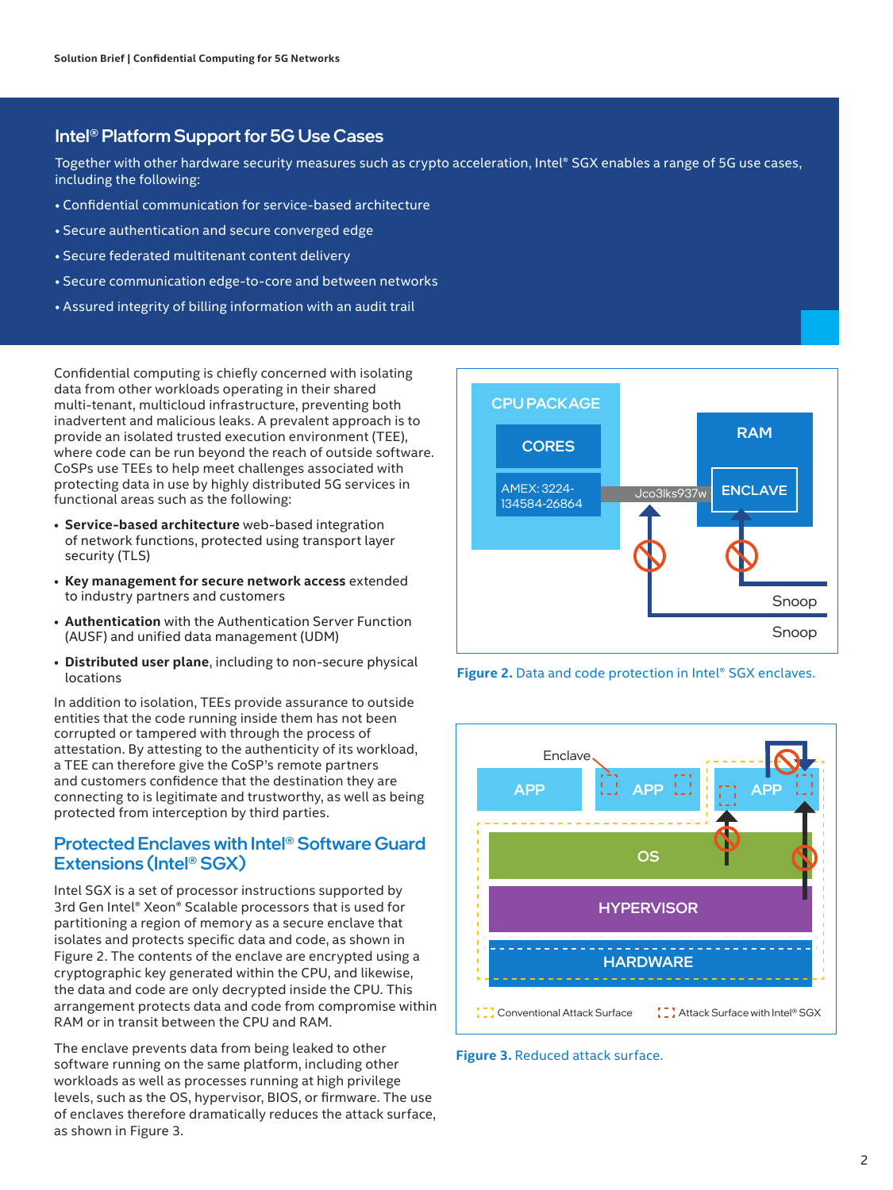#### Intel® Platform Support for 5G Use Cases

Together with other hardware security measures such as crypto acceleration, Intel® SGX enables a range of 5G use cases, including the following:

- Confidential communication for service-based architecture
- Secure authentication and secure converged edge
- Secure federated multitenant content delivery
- Secure communication edge-to-core and between networks
- Assured integrity of billing information with an audit trail

Confidential computing is chiefly concerned with isolating data from other workloads operating in their shared multi-tenant, multicloud infrastructure, preventing both inadvertent and malicious leaks. A prevalent approach is to provide an isolated trusted execution environment (TEE), where code can be run beyond the reach of outside software. CoSPs use TEEs to help meet challenges associated with protecting data in use by highly distributed 5G services in functional areas such as the following:

- **Service-based architecture** web-based integration of network functions, protected using transport layer security (TLS)
- **Key management for secure network access** extended to industry partners and customers
- **Authentication** with the Authentication Server Function (AUSF) and unified data management (UDM)
- **Distributed user plane**, including to non-secure physical locations

In addition to isolation, TEEs provide assurance to outside entities that the code running inside them has not been corrupted or tampered with through the process of attestation. By attesting to the authenticity of its workload, a TEE can therefore give the CoSP's remote partners and customers confidence that the destination they are connecting to is legitimate and trustworthy, as well as being protected from interception by third parties.

#### Protected Enclaves with Intel® Software Guard Extensions (Intel® SGX)

Intel SGX is a set of processor instructions supported by 3rd Gen Intel® Xeon® Scalable processors that is used for partitioning a region of memory as a secure enclave that isolates and protects specific data and code, as shown in Figure 2. The contents of the enclave are encrypted using a cryptographic key generated within the CPU, and likewise, the data and code are only decrypted inside the CPU. This arrangement protects data and code from compromise within RAM or in transit between the CPU and RAM.

The enclave prevents data from being leaked to other software running on the same platform, including other workloads as well as processes running at high privilege levels, such as the OS, hypervisor, BIOS, or firmware. The use of enclaves therefore dramatically reduces the attack surface, as shown in Figure 3.







**Figure 3.** Reduced attack surface.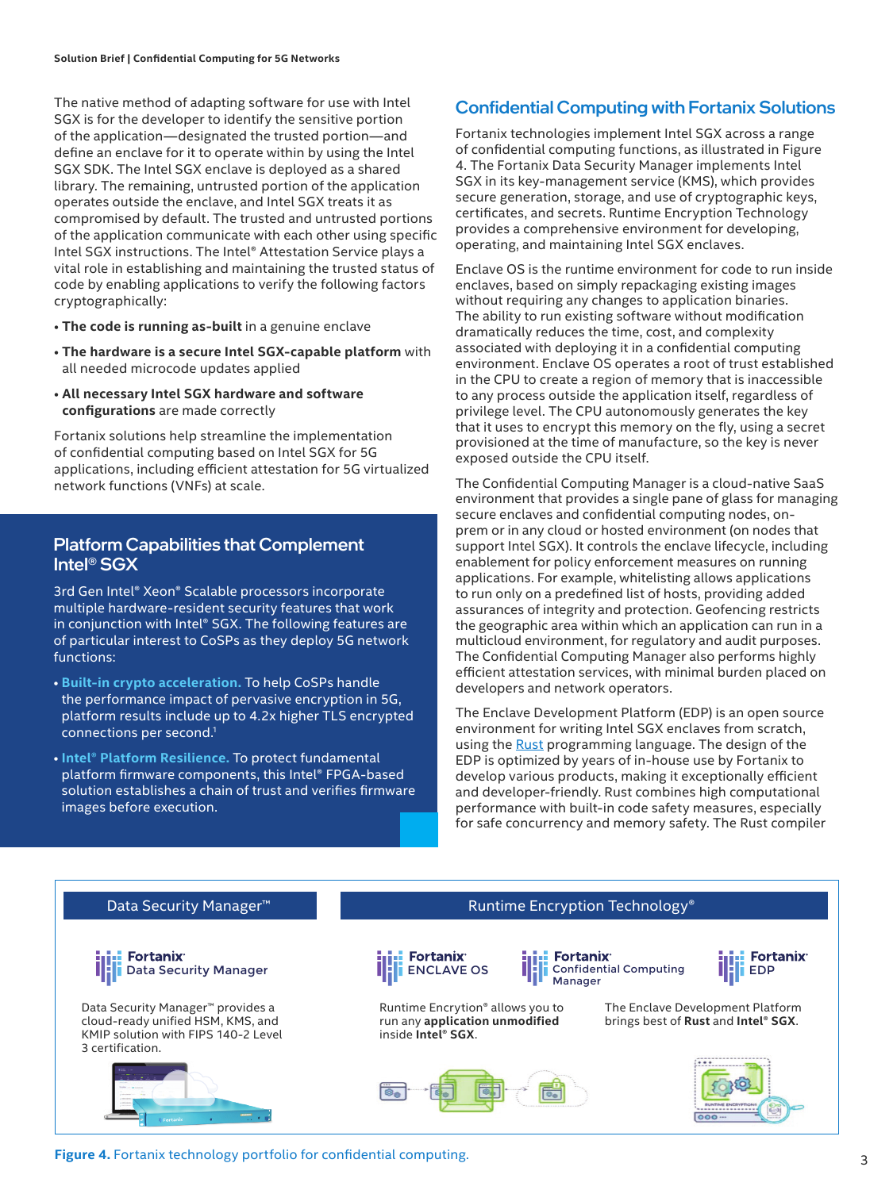The native method of adapting software for use with Intel SGX is for the developer to identify the sensitive portion of the application—designated the trusted portion—and define an enclave for it to operate within by using the Intel SGX SDK. The Intel SGX enclave is deployed as a shared library. The remaining, untrusted portion of the application operates outside the enclave, and Intel SGX treats it as compromised by default. The trusted and untrusted portions of the application communicate with each other using specific Intel SGX instructions. The Intel® Attestation Service plays a vital role in establishing and maintaining the trusted status of code by enabling applications to verify the following factors cryptographically:

- **The code is running as-built** in a genuine enclave
- **The hardware is a secure Intel SGX-capable platform** with all needed microcode updates applied
- **All necessary Intel SGX hardware and software configurations** are made correctly

Fortanix solutions help streamline the implementation of confidential computing based on Intel SGX for 5G applications, including efficient attestation for 5G virtualized network functions (VNFs) at scale.

#### Platform Capabilities that Complement Intel® SGX

3rd Gen Intel® Xeon® Scalable processors incorporate multiple hardware-resident security features that work in conjunction with Intel® SGX. The following features are of particular interest to CoSPs as they deploy 5G network functions:

- **[Built-in crypto acceleration.](https://newsroom.intel.com/articles/crypto-acceleration-enabling-path-future-computing/#gs.cezvdy)** To help CoSPs handle the performance impact of pervasive encryption in 5G, platform results include up to 4.2x higher TLS encrypted connections per second.1
- **[Intel® Platform Resilience.](https://www.intel.com/content/www/us/en/products/docs/processors/xeon/platform-firmware-resilience.html?wapkw=Intel%20Platform%20Firmware%20Resilience)** To protect fundamental platform firmware components, this Intel® FPGA-based solution establishes a chain of trust and verifies firmware images before execution.

#### Confidential Computing with Fortanix Solutions

Fortanix technologies implement Intel SGX across a range of confidential computing functions, as illustrated in Figure 4. The Fortanix Data Security Manager implements Intel SGX in its key-management service (KMS), which provides secure generation, storage, and use of cryptographic keys, certificates, and secrets. Runtime Encryption Technology provides a comprehensive environment for developing, operating, and maintaining Intel SGX enclaves.

Enclave OS is the runtime environment for code to run inside enclaves, based on simply repackaging existing images without requiring any changes to application binaries. The ability to run existing software without modification dramatically reduces the time, cost, and complexity associated with deploying it in a confidential computing environment. Enclave OS operates a root of trust established in the CPU to create a region of memory that is inaccessible to any process outside the application itself, regardless of privilege level. The CPU autonomously generates the key that it uses to encrypt this memory on the fly, using a secret provisioned at the time of manufacture, so the key is never exposed outside the CPU itself.

The Confidential Computing Manager is a cloud-native SaaS environment that provides a single pane of glass for managing secure enclaves and confidential computing nodes, onprem or in any cloud or hosted environment (on nodes that support Intel SGX). It controls the enclave lifecycle, including enablement for policy enforcement measures on running applications. For example, whitelisting allows applications to run only on a predefined list of hosts, providing added assurances of integrity and protection. Geofencing restricts the geographic area within which an application can run in a multicloud environment, for regulatory and audit purposes. The Confidential Computing Manager also performs highly efficient attestation services, with minimal burden placed on developers and network operators.

The Enclave Development Platform (EDP) is an open source environment for writing Intel SGX enclaves from scratch, using the [Rust](https://www.rust-lang.org/) programming language. The design of the EDP is optimized by years of in-house use by Fortanix to develop various products, making it exceptionally efficient and developer-friendly. Rust combines high computational performance with built-in code safety measures, especially for safe concurrency and memory safety. The Rust compiler



#### **Figure 4.** Fortanix technology portfolio for confidential computing.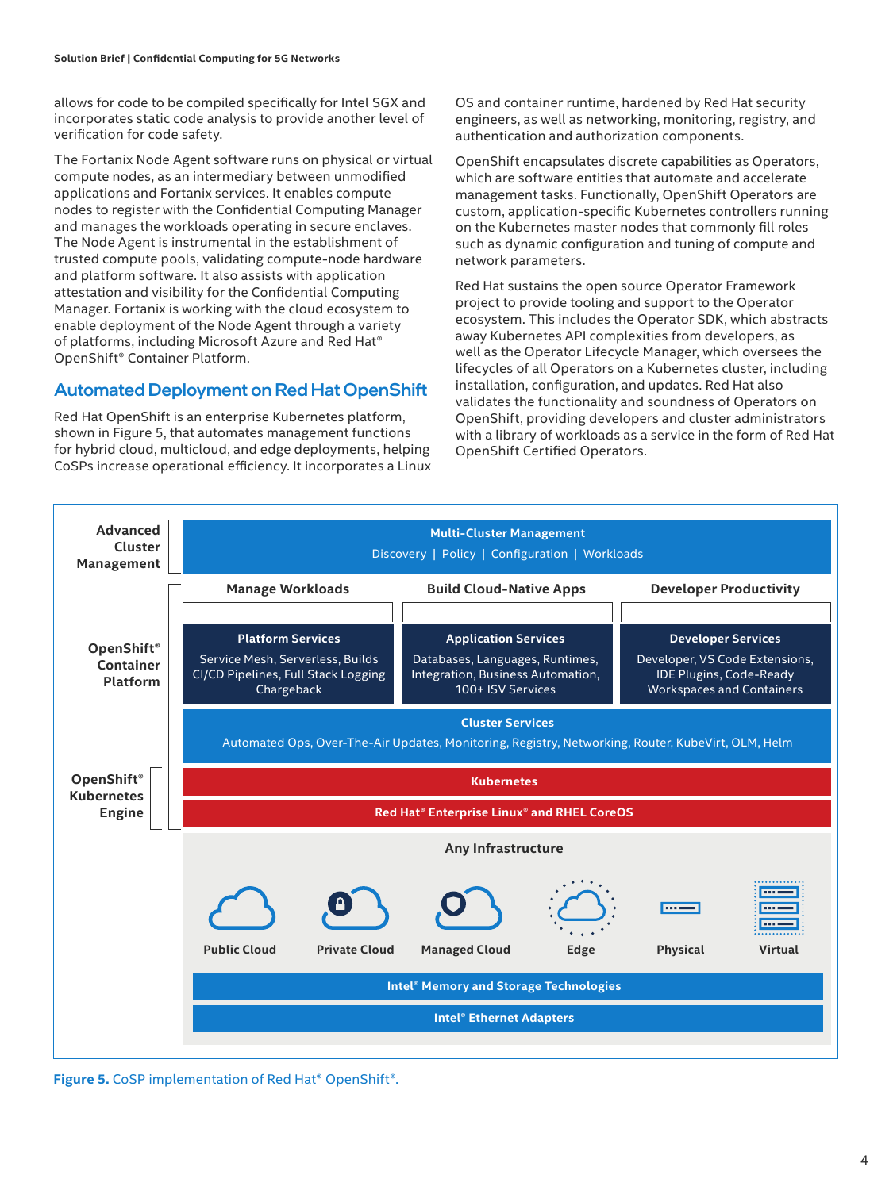allows for code to be compiled specifically for Intel SGX and incorporates static code analysis to provide another level of verification for code safety.

The Fortanix Node Agent software runs on physical or virtual compute nodes, as an intermediary between unmodified applications and Fortanix services. It enables compute nodes to register with the Confidential Computing Manager and manages the workloads operating in secure enclaves. The Node Agent is instrumental in the establishment of trusted compute pools, validating compute-node hardware and platform software. It also assists with application attestation and visibility for the Confidential Computing Manager. Fortanix is working with the cloud ecosystem to enable deployment of the Node Agent through a variety of platforms, including Microsoft Azure and Red Hat® OpenShift® Container Platform.

#### Automated Deployment on Red Hat OpenShift

Red Hat OpenShift is an enterprise Kubernetes platform, shown in Figure 5, that automates management functions for hybrid cloud, multicloud, and edge deployments, helping CoSPs increase operational efficiency. It incorporates a Linux OS and container runtime, hardened by Red Hat security engineers, as well as networking, monitoring, registry, and authentication and authorization components.

OpenShift encapsulates discrete capabilities as Operators, which are software entities that automate and accelerate management tasks. Functionally, OpenShift Operators are custom, application-specific Kubernetes controllers running on the Kubernetes master nodes that commonly fill roles such as dynamic configuration and tuning of compute and network parameters.

Red Hat sustains the open source Operator Framework project to provide tooling and support to the Operator ecosystem. This includes the Operator SDK, which abstracts away Kubernetes API complexities from developers, as well as the Operator Lifecycle Manager, which oversees the lifecycles of all Operators on a Kubernetes cluster, including installation, configuration, and updates. Red Hat also validates the functionality and soundness of Operators on OpenShift, providing developers and cluster administrators with a library of workloads as a service in the form of Red Hat OpenShift Certified Operators.



**Figure 5.** CoSP implementation of Red Hat® OpenShift®.